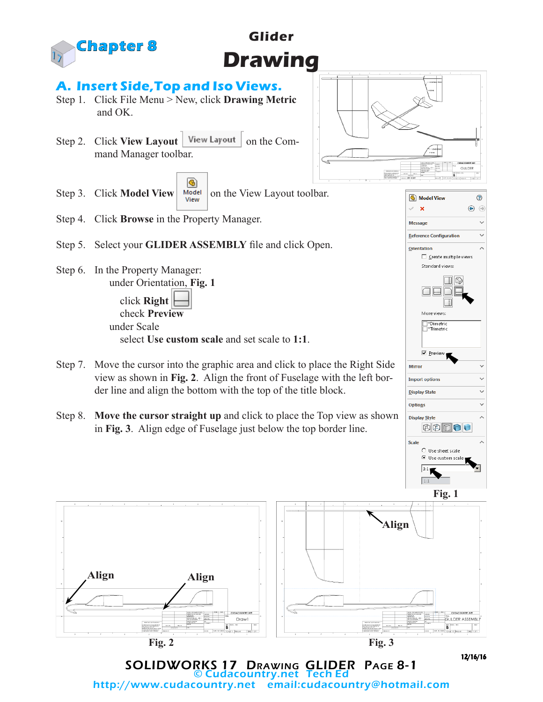

SOLIDWORKS 17 DRAWING GLIDER PAGE 8-1 Cudacountry.net http://www.cudacountry.net email:cudacountry@hotmail.com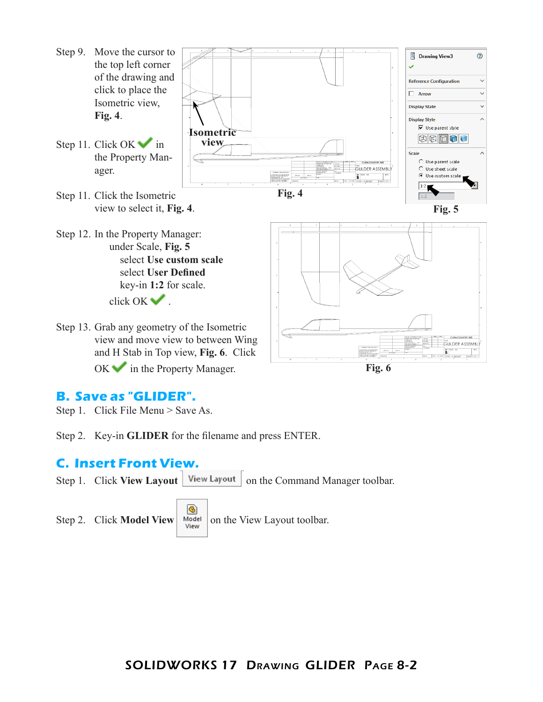- Step 9. Move the cursor to the top left corner of the drawing and click to place the Isometric view, **Fig. 4**.
- Step 11. Click OK in the Property Manager.
- **ED** Drawing View3 ⊙ U **Reference Configuration**  $\checkmark$  $\Box$  Arrow  $\ddot{\phantom{1}}$ **Display State**  $\ddot{\phantom{0}}$ **Display Style**  $\lambda$  $\nabla$  Use parent style **Isometric**  BBDDU **view** Scale  $\mathbb C$  Use parent scale CUDACOUNTRY.NET **GLILDER ASSEMBLY** C Use sheet scale  $\odot$  Use custom scale  $\overline{\mathbf{B}}^\top$ stener Is  $1:2$ **Fig. 4 Fig. 5**
- Step 11. Click the Isometric view to select it, **Fig. 4**.
- Step 12. In the Property Manager: under Scale, **Fig. 5** select **Use custom scale** select **User Defined** key-in **1:2** for scale. click OK .
- Step 13. Grab any geometry of the Isometric view and move view to between Wing and H Stab in Top view, **Fig. 6**. Click  $OK$  in the Property Manager.



**Fig. 6**

## **B. Save as "GLIDER".**

- Step 1. Click File Menu > Save As.
- Step 2. Key-in **GLIDER** for the filename and press ENTER.

## **C. Insert Front View.**

Step 1. Click View Layout | View Layout | on the Command Manager toolbar.

G) Step 2. Click **Model View**  $\begin{array}{c|c} \text{Model} & \text{on the View Layout toolbar.} \end{array}$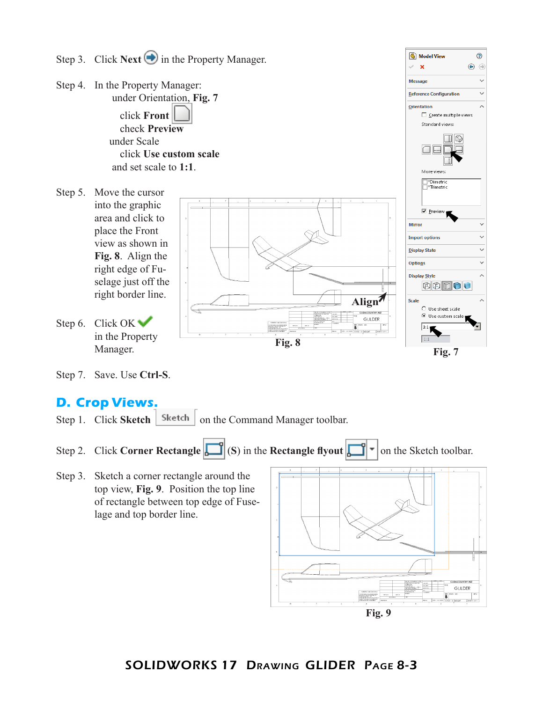

Step 7. Save. Use **Ctrl-S**.

# **D. Crop Views.**

- Step 1. Click **Sketch** | Sketch | on the Command Manager toolbar.
- Step 2. Click **Corner Rectangle**  $\begin{bmatrix} \cdot \\ \cdot \end{bmatrix}$  (S) in the **Rectangle flyout**  $\begin{bmatrix} \cdot \\ \cdot \end{bmatrix}$  on the Sketch toolbar.
- Step 3. Sketch a corner rectangle around the top view, **Fig. 9**. Position the top line of rectangle between top edge of Fuselage and top border line.

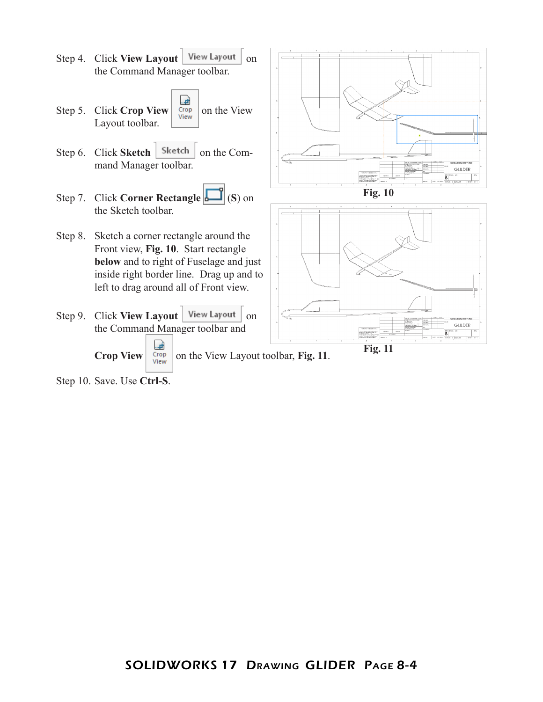

Step 10. Save. Use **Ctrl-S**.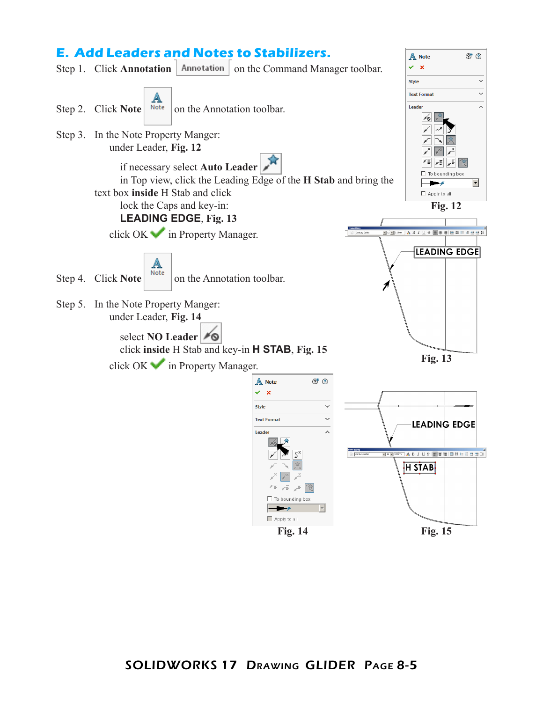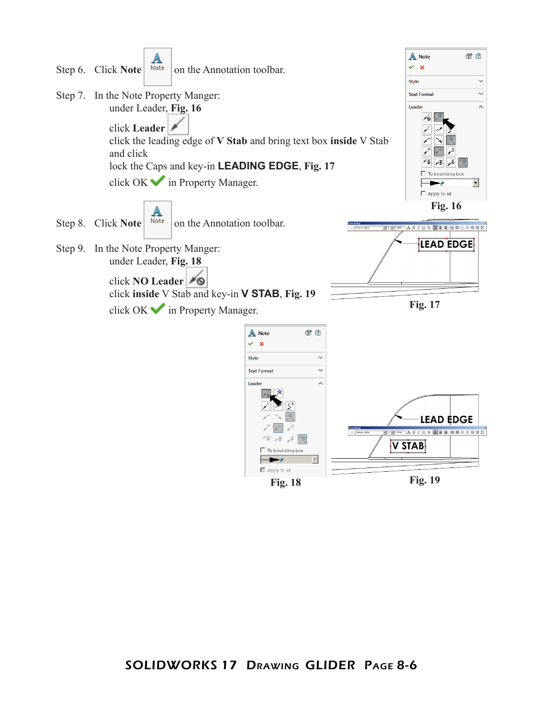

**Fig. 18**

**Fig. 19**